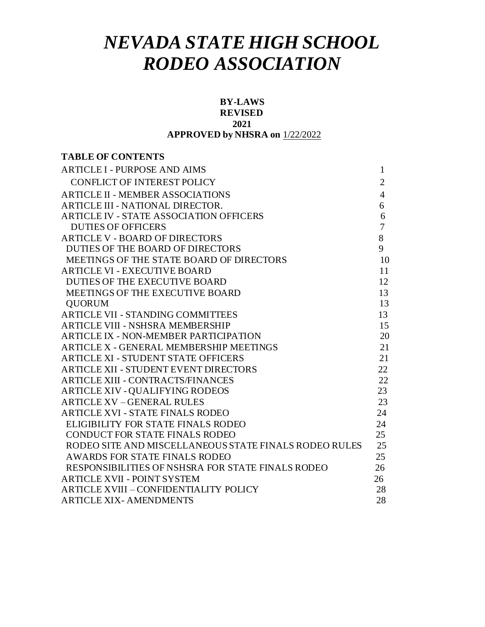# *NEVADA STATE HIGH SCHOOL RODEO ASSOCIATION*

#### **BY-LAWS REVISED**

#### **2021**

#### **APPROVED by NHSRA on** 1/22/2022

## **TABLE OF CONTENTS** ARTICLE I - [PURPOSE AND AIMS](#page-1-0) 1 CONFLICT OF INTEREST POLICY 2 ARTICLE II - MEMBER [ASSOCIATIONS](#page-4-0) 4 ARTICLE III - NATIONAL [DIRECTOR.](#page-6-0) 6 ARTICLE IV - STATE ASSOCIATION OFFICERS 6 DUTIES OF OFFICERS 7 ARTICLE V - BOARD [OF DIRECTORS](#page-8-0) 8 DUTIES OF THE BOARD OF DIRECTORS 9 MEETINGS OF THE STATE BOARD OF DIRECTORS 10 ARTICLE VI - [EXECUTIVE](#page-11-0) BOARD 11 [DUTIES OF THE EXECUTIVE BOARD](#page-12-0) 12 [MEETINGS OF THE EXECUTIVE BOARD](#page-13-0) 13 OUORUM 13 ARTICLE VII - STANDING [COMMITTEES](#page-13-1) 13 ARTICLE VIII - [NSHSRA MEMBERSHIP](https://docs.google.com/document/d/1EI_XFRSjw21oxlseNzRrcekv_3GTQhSp/edit#heading%3Dh.4d34og8) 15 ARTICLE IX - NON-MEMBER PARTICIPATION 20 ARTICLE X - GENERAL MEMBERSHIP MEETINGS 21 ARTICLE XI - STUDENT STATE OFFICERS 21 ARTICLE XII - [STUDENT EVENT DIRECTORS 22](https://docs.google.com/document/d/1EI_XFRSjw21oxlseNzRrcekv_3GTQhSp/edit#heading%3Dh.2s8eyo1) ARTICLE XIII - [CONTRACTS/FINANCES](https://docs.google.com/document/d/1EI_XFRSjw21oxlseNzRrcekv_3GTQhSp/edit#heading%3Dh.17dp8vu) 22 ARTICLE XIV - QUALIFYING RODEOS 23 ARTICLE XV – [GENERAL RULES](https://docs.google.com/document/d/1EI_XFRSjw21oxlseNzRrcekv_3GTQhSp/edit#heading%3Dh.3rdcrjn) 23 [ARTICLE](https://docs.google.com/document/d/1EI_XFRSjw21oxlseNzRrcekv_3GTQhSp/edit#heading%3Dh.26in1rg) XVI - STATE FINALS RODEO 24 ELIGIBILITY FOR STATE FINALS RODEO 24 CONDUCT FOR STATE FINALS RODEO 25 RODEO SITE AND MISCELLANEOUS STATE FINALS RODEO RULES 25 AWARDS FOR STATE FINALS RODEO 25 RESPONSIBILITIES OF NSHSRA FOR STATE FINALS RODEO 26 ARTICLE XVII - POINT SYSTEM 26 ARTICLE XVIII – CONFIDENTIALITY POLICY 28 ARTICLE XIX- AMENDMENTS 28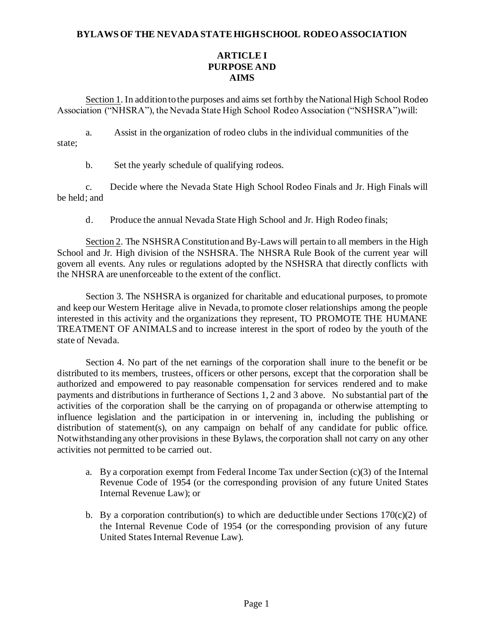#### <span id="page-1-0"></span>**BYLAWSOF THE NEVADA STATEHIGHSCHOOL RODEO ASSOCIATION**

## **ARTICLE I PURPOSE AND AIMS**

Section 1. In addition to the purposes and aims set forth by the National High School Rodeo Association ("NHSRA"), the Nevada State High School Rodeo Association ("NSHSRA")will:

a. Assist in the organization of rodeo clubs in the individual communities of the state;

b. Set the yearly schedule of qualifying rodeos.

c. Decide where the Nevada State High School Rodeo Finals and Jr. High Finals will be held; and

d. Produce the annual Nevada State High School and Jr. High Rodeo finals;

Section 2. The NSHSRA Constitution and By-Laws will pertain to all members in the High School and Jr. High division of the NSHSRA. The NHSRA Rule Book of the current year will govern all events. Any rules or regulations adopted by the NSHSRA that directly conflicts with the NHSRA are unenforceable to the extent of the conflict.

Section 3. The NSHSRA is organized for charitable and educational purposes, to promote and keep our Western Heritage alive in Nevada, to promote closer relationships among the people interested in this activity and the organizations they represent, TO PROMOTE THE HUMANE TREATMENT OF ANIMALS and to increase interest in the sport of rodeo by the youth of the state of Nevada.

Section 4. No part of the net earnings of the corporation shall inure to the benefit or be distributed to its members, trustees, officers or other persons, except that the corporation shall be authorized and empowered to pay reasonable compensation for services rendered and to make payments and distributions in furtherance of Sections 1, 2 and 3 above. No substantial part of the activities of the corporation shall be the carrying on of propaganda or otherwise attempting to influence legislation and the participation in or intervening in, including the publishing or distribution of statement(s), on any campaign on behalf of any candidate for public office. Notwithstanding any other provisions in these Bylaws, the corporation shall not carry on any other activities not permitted to be carried out.

- a. By a corporation exempt from Federal Income Tax under Section (c)(3) of the Internal Revenue Code of 1954 (or the corresponding provision of any future United States Internal Revenue Law); or
- b. By a corporation contribution(s) to which are deductible under Sections  $170(c)(2)$  of the Internal Revenue Code of 1954 (or the corresponding provision of any future United States Internal Revenue Law).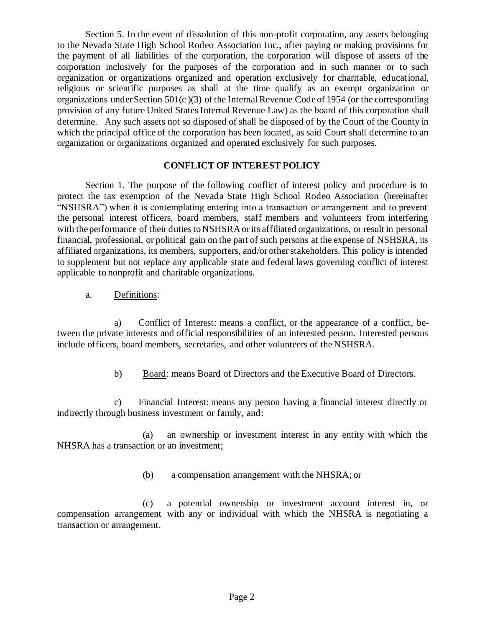Section 5. In the event of dissolution of this non-profit corporation, any assets belonging to the Nevada State High School Rodeo Association Inc., after paying or making provisions for the payment of all liabilities of the corporation, the corporation will dispose of assets of the corporation inclusively for the purposes of the corporation and in such manner or to such organization or organizations organized and operation exclusively for charitable, educational, religious or scientific purposes as shall at the time qualify as an exempt organization or organizations under Section  $501(c)(3)$  of the Internal Revenue Code of 1954 (or the corresponding provision of any future United States Internal Revenue Law) as the board of this corporation shall determine. Any such assets not so disposed of shall be disposed of by the Court of the County in which the principal office of the corporation has been located, as said Court shall determine to an organization or organizations organized and operated exclusively for such purposes.

## **CONFLICT OF INTEREST POLICY**

Section 1. The purpose of the following conflict of interest policy and procedure is to protect the tax exemption of the Nevada State High School Rodeo Association (hereinafter "NSHSRA") when it is contemplating entering into a transaction or arrangement and to prevent the personal interest officers, board members, staff members and volunteers from interfering with the performance of their duties to NSHSRA or its affiliated organizations, or result in personal financial, professional, or political gain on the part of such persons at the expense of NSHSRA, its affiliated organizations, its members, supporters, and/or other stakeholders. This policy is intended to supplement but not replace any applicable state and federal laws governing conflict of interest applicable to nonprofit and charitable organizations.

a. Definitions:

a) Conflict of Interest: means a conflict, or the appearance of a conflict, between the private interests and official responsibilities of an interested person. Interested persons include officers, board members, secretaries, and other volunteers of the NSHSRA.

b) Board: means Board of Directors and the Executive Board of Directors.

c) Financial Interest: means any person having a financial interest directly or indirectly through business investment or family, and:

(a) an ownership or investment interest in any entity with which the NHSRA has a transaction or an investment;

(b) a compensation arrangement with the NHSRA; or

(c) a potential ownership or investment account interest in, or compensation arrangement with any or individual with which the NHSRA is negotiating a transaction or arrangement.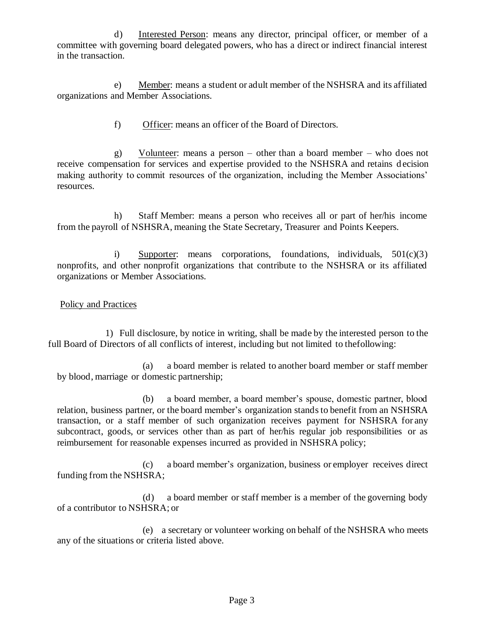d) Interested Person: means any director, principal officer, or member of a committee with governing board delegated powers, who has a direct or indirect financial interest in the transaction.

e) Member: means a student or adult member of the NSHSRA and its affiliated organizations and Member Associations.

f) Officer: means an officer of the Board of Directors.

g) Volunteer: means a person – other than a board member – who does not receive compensation for services and expertise provided to the NSHSRA and retains d ecision making authority to commit resources of the organization, including the Member Associations' resources.

h) Staff Member: means a person who receives all or part of her/his income from the payroll of NSHSRA, meaning the State Secretary, Treasurer and Points Keepers.

i) Supporter: means corporations, foundations, individuals,  $501(c)(3)$ nonprofits, and other nonprofit organizations that contribute to the NSHSRA or its affiliated organizations or Member Associations.

Policy and Practices

1) Full disclosure, by notice in writing, shall be made by the interested person to the full Board of Directors of all conflicts of interest, including but not limited to thefollowing:

(a) a board member is related to another board member or staff member by blood, marriage or domestic partnership;

(b) a board member, a board member's spouse, domestic partner, blood relation, business partner, or the board member's organization stands to benefit from an NSHSRA transaction, or a staff member of such organization receives payment for NSHSRA for any subcontract, goods, or services other than as part of her/his regular job responsibilities or as reimbursement for reasonable expenses incurred as provided in NSHSRA policy;

(c) a board member's organization, business or employer receives direct funding from the NSHSRA;

(d) a board member or staff member is a member of the governing body of a contributor to NSHSRA; or

(e) a secretary or volunteer working on behalf of the NSHSRA who meets any of the situations or criteria listed above.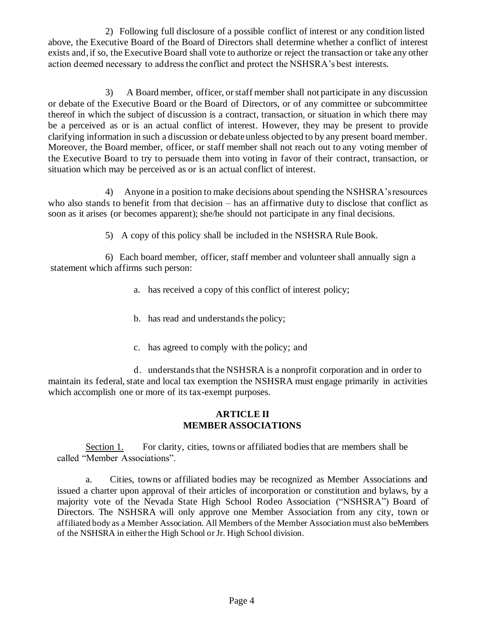2) Following full disclosure of a possible conflict of interest or any condition listed above, the Executive Board of the Board of Directors shall determine whether a conflict of interest exists and, if so, the Executive Board shall vote to authorize or reject the transaction or take any other action deemed necessary to address the conflict and protect the NSHSRA's best interests.

3) A Board member, officer, or staff member shall not participate in any discussion or debate of the Executive Board or the Board of Directors, or of any committee or subcommittee thereof in which the subject of discussion is a contract, transaction, or situation in which there may be a perceived as or is an actual conflict of interest. However, they may be present to provide clarifying information in such a discussion or debate unless objected to by any present board member. Moreover, the Board member, officer, or staff member shall not reach out to any voting member of the Executive Board to try to persuade them into voting in favor of their contract, transaction, or situation which may be perceived as or is an actual conflict of interest.

4) Anyone in a position to make decisions about spending the NSHSRA's resources who also stands to benefit from that decision – has an affirmative duty to disclose that conflict as soon as it arises (or becomes apparent); she/he should not participate in any final decisions.

5) A copy of this policy shall be included in the NSHSRA Rule Book.

6) Each board member, officer, staff member and volunteer shall annually sign a statement which affirms such person:

- a. has received a copy of this conflict of interest policy;
- b. has read and understands the policy;
- c. has agreed to comply with the policy; and

d. understands that the NSHSRA is a nonprofit corporation and in order to maintain its federal, state and local tax exemption the NSHSRA must engage primarily in activities which accomplish one or more of its tax-exempt purposes.

### **ARTICLE II MEMBER ASSOCIATIONS**

<span id="page-4-0"></span>Section 1. For clarity, cities, towns or affiliated bodiesthat are members shall be called "Member Associations".

a. Cities, towns or affiliated bodies may be recognized as Member Associations and issued a charter upon approval of their articles of incorporation or constitution and bylaws, by a majority vote of the Nevada State High School Rodeo Association ("NSHSRA") Board of Directors. The NSHSRA will only approve one Member Association from any city, town or affiliated body as a Member Association. All Members of the Member Association must also beMembers of the NSHSRA in eitherthe High School or Jr. High School division.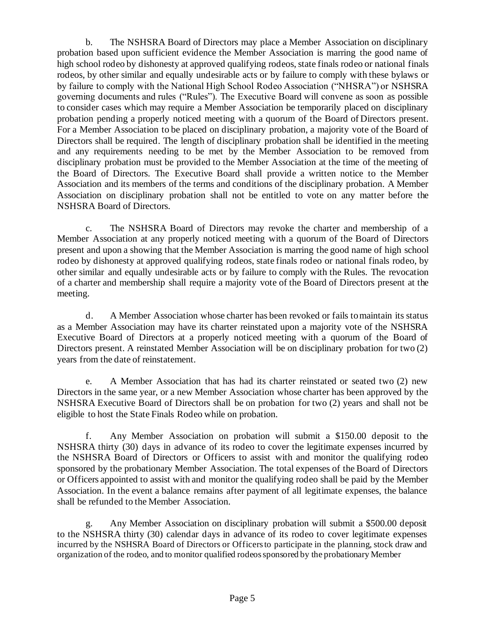b. The NSHSRA Board of Directors may place a Member Association on disciplinary probation based upon sufficient evidence the Member Association is marring the good name of high school rodeo by dishonesty at approved qualifying rodeos, state finals rodeo or national finals rodeos, by other similar and equally undesirable acts or by failure to comply with these bylaws or by failure to comply with the National High School Rodeo Association ("NHSRA") or NSHSRA governing documents and rules ("Rules"). The Executive Board will convene as soon as possible to consider cases which may require a Member Association be temporarily placed on disciplinary probation pending a properly noticed meeting with a quorum of the Board of Directors present. For a Member Association to be placed on disciplinary probation, a majority vote of the Board of Directors shall be required. The length of disciplinary probation shall be identified in the meeting and any requirements needing to be met by the Member Association to be removed from disciplinary probation must be provided to the Member Association at the time of the meeting of the Board of Directors. The Executive Board shall provide a written notice to the Member Association and its members of the terms and conditions of the disciplinary probation. A Member Association on disciplinary probation shall not be entitled to vote on any matter before the NSHSRA Board of Directors.

c. The NSHSRA Board of Directors may revoke the charter and membership of a Member Association at any properly noticed meeting with a quorum of the Board of Directors present and upon a showing that the Member Association is marring the good name of high school rodeo by dishonesty at approved qualifying rodeos, state finals rodeo or national finals rodeo, by other similar and equally undesirable acts or by failure to comply with the Rules. The revocation of a charter and membership shall require a majority vote of the Board of Directors present at the meeting.

d. A Member Association whose charter has been revoked or fails to maintain its status as a Member Association may have its charter reinstated upon a majority vote of the NSHSRA Executive Board of Directors at a properly noticed meeting with a quorum of the Board of Directors present. A reinstated Member Association will be on disciplinary probation for two (2) years from the date of reinstatement.

e. A Member Association that has had its charter reinstated or seated two (2) new Directors in the same year, or a new Member Association whose charter has been approved by the NSHSRA Executive Board of Directors shall be on probation for two (2) years and shall not be eligible to host the State Finals Rodeo while on probation.

f. Any Member Association on probation will submit a \$150.00 deposit to the NSHSRA thirty (30) days in advance of its rodeo to cover the legitimate expenses incurred by the NSHSRA Board of Directors or Officers to assist with and monitor the qualifying rodeo sponsored by the probationary Member Association. The total expenses of the Board of Directors or Officers appointed to assist with and monitor the qualifying rodeo shall be paid by the Member Association. In the event a balance remains after payment of all legitimate expenses, the balance shall be refunded to the Member Association.

g. Any Member Association on disciplinary probation will submit a \$500.00 deposit to the NSHSRA thirty (30) calendar days in advance of its rodeo to cover legitimate expenses incurred by the NSHSRA Board of Directors or Officers to participate in the planning, stock draw and organization of the rodeo, and to monitor qualified rodeos sponsored by the probationary Member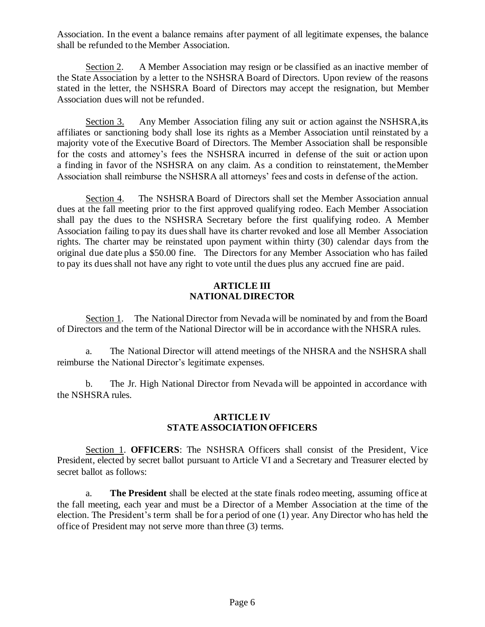Association. In the event a balance remains after payment of all legitimate expenses, the balance shall be refunded to the Member Association.

Section 2. A Member Association may resign or be classified as an inactive member of the State Association by a letter to the NSHSRA Board of Directors. Upon review of the reasons stated in the letter, the NSHSRA Board of Directors may accept the resignation, but Member Association dues will not be refunded.

Section 3. Any Member Association filing any suit or action against the NSHSRA, its affiliates or sanctioning body shall lose its rights as a Member Association until reinstated by a majority vote of the Executive Board of Directors. The Member Association shall be responsible for the costs and attorney's fees the NSHSRA incurred in defense of the suit or action upon a finding in favor of the NSHSRA on any claim. As a condition to reinstatement, theMember Association shall reimburse the NSHSRA all attorneys' fees and costs in defense of the action.

Section 4. The NSHSRA Board of Directors shall set the Member Association annual dues at the fall meeting prior to the first approved qualifying rodeo. Each Member Association shall pay the dues to the NSHSRA Secretary before the first qualifying rodeo. A Member Association failing to pay its dues shall have its charter revoked and lose all Member Association rights. The charter may be reinstated upon payment within thirty (30) calendar days from the original due date plus a \$50.00 fine. The Directors for any Member Association who has failed to pay its dues shall not have any right to vote until the dues plus any accrued fine are paid.

### **ARTICLE III NATIONAL DIRECTOR**

<span id="page-6-0"></span>Section 1. The National Director from Nevada will be nominated by and from the Board of Directors and the term of the National Director will be in accordance with the NHSRA rules.

a. The National Director will attend meetings of the NHSRA and the NSHSRA shall reimburse the National Director's legitimate expenses.

b. The Jr. High National Director from Nevada will be appointed in accordance with the NSHSRA rules.

#### **ARTICLE IV STATE ASSOCIATION OFFICERS**

Section 1. **OFFICERS**: The NSHSRA Officers shall consist of the President, Vice President, elected by secret ballot pursuant to Article VI and a Secretary and Treasurer elected by secret ballot as follows:

a. **The President** shall be elected at the state finals rodeo meeting, assuming office at the fall meeting, each year and must be a Director of a Member Association at the time of the election. The President's term shall be for a period of one (1) year. Any Director who has held the office of President may not serve more than three (3) terms.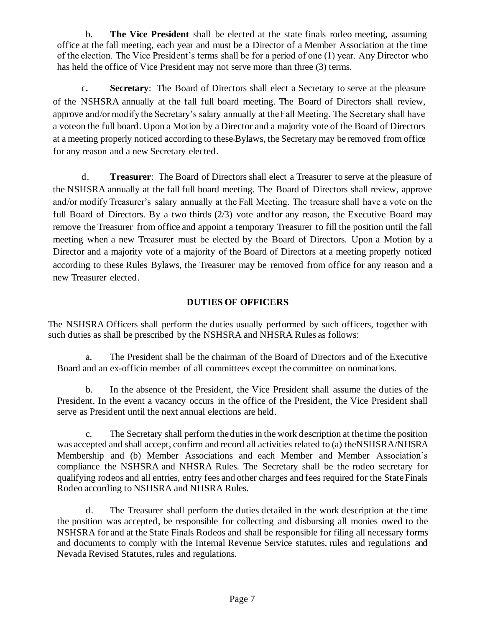b. **The Vice President** shall be elected at the state finals rodeo meeting, assuming office at the fall meeting, each year and must be a Director of a Member Association at the time of the election. The Vice President's terms shall be for a period of one (1) year. Any Director who has held the office of Vice President may not serve more than three (3) terms.

c**. Secretary**: The Board of Directors shall elect a Secretary to serve at the pleasure of the NSHSRA annually at the fall full board meeting. The Board of Directors shall review, approve and/or modify the Secretary's salary annually at the Fall Meeting. The Secretary shall have a voteon the full board. Upon a Motion by a Director and a majority vote of the Board of Directors at a meeting properly noticed according to these Bylaws, the Secretary may be removed from office for any reason and a new Secretary elected.

d. **Treasurer**: The Board of Directors shall elect a Treasurer to serve at the pleasure of the NSHSRA annually at the fall full board meeting. The Board of Directors shall review, approve and/or modify Treasurer's salary annually at the Fall Meeting. The treasure shall have a vote on the full Board of Directors. By a two thirds (2/3) vote and for any reason, the Executive Board may remove the Treasurer from office and appoint a temporary Treasurer to fill the position until the fall meeting when a new Treasurer must be elected by the Board of Directors. Upon a Motion by a Director and a majority vote of a majority of the Board of Directors at a meeting properly noticed according to these Rules Bylaws, the Treasurer may be removed from office for any reason and a new Treasurer elected.

## **DUTIES OF OFFICERS**

The NSHSRA Officers shall perform the duties usually performed by such officers, together with such duties as shall be prescribed by the NSHSRA and NHSRA Rules as follows:

a. The President shall be the chairman of the Board of Directors and of the Executive Board and an ex-officio member of all committees except the committee on nominations.

b. In the absence of the President, the Vice President shall assume the duties of the President. In the event a vacancy occurs in the office of the President, the Vice President shall serve as President until the next annual elections are held.

c. The Secretary shall perform the duties in the work description at the time the position was accepted and shall accept, confirm and record all activities related to (a) theNSHSRA/NHSRA Membership and (b) Member Associations and each Member and Member Association's compliance the NSHSRA and NHSRA Rules. The Secretary shall be the rodeo secretary for qualifying rodeos and all entries, entry fees and other charges and fees required for the State Finals Rodeo according to NSHSRA and NHSRA Rules.

d. The Treasurer shall perform the duties detailed in the work description at the time the position was accepted, be responsible for collecting and disbursing all monies owed to the NSHSRA for and at the State Finals Rodeos and shall be responsible for filing all necessary forms and documents to comply with the Internal Revenue Service statutes, rules and regulations and Nevada Revised Statutes, rules and regulations.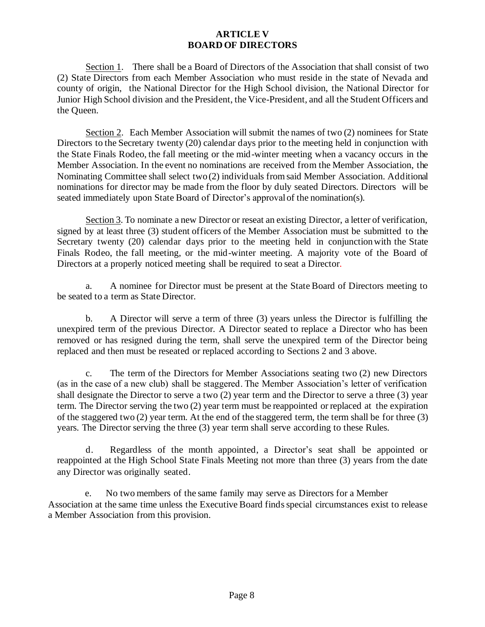## **ARTICLE V BOARD OF DIRECTORS**

<span id="page-8-0"></span>Section 1. There shall be a Board of Directors of the Association that shall consist of two (2) State Directors from each Member Association who must reside in the state of Nevada and county of origin, the National Director for the High School division, the National Director for Junior High School division and the President, the Vice-President, and all the Student Officers and the Queen.

Section 2. Each Member Association will submit the names of two (2) nominees for State Directors to the Secretary twenty (20) calendar days prior to the meeting held in conjunction with the State Finals Rodeo, the fall meeting or the mid-winter meeting when a vacancy occurs in the Member Association. In the event no nominations are received from the Member Association, the Nominating Committee shall select two (2) individuals from said Member Association. Additional nominations for director may be made from the floor by duly seated Directors. Directors will be seated immediately upon State Board of Director's approvalof the nomination(s).

Section 3. To nominate a new Director or reseat an existing Director, a letter of verification, signed by at least three (3) student officers of the Member Association must be submitted to the Secretary twenty (20) calendar days prior to the meeting held in conjunction with the State Finals Rodeo, the fall meeting, or the mid-winter meeting. A majority vote of the Board of Directors at a properly noticed meeting shall be required to seat a Director.

a. A nominee for Director must be present at the State Board of Directors meeting to be seated to a term as State Director.

b. A Director will serve a term of three (3) years unless the Director is fulfilling the unexpired term of the previous Director. A Director seated to replace a Director who has been removed or has resigned during the term, shall serve the unexpired term of the Director being replaced and then must be reseated or replaced according to Sections 2 and 3 above.

c. The term of the Directors for Member Associations seating two (2) new Directors (as in the case of a new club) shall be staggered. The Member Association's letter of verification shall designate the Director to serve a two (2) year term and the Director to serve a three (3) year term. The Director serving the two (2) year term must be reappointed or replaced at the expiration of the staggered two (2) year term. At the end of the staggered term, the term shall be for three (3) years. The Director serving the three (3) year term shall serve according to these Rules.

d. Regardless of the month appointed, a Director's seat shall be appointed or reappointed at the High School State Finals Meeting not more than three (3) years from the date any Director was originally seated.

 e. No two members of the same family may serve as Directors for a Member Association at the same time unless the Executive Board finds special circumstances exist to release a Member Association from this provision.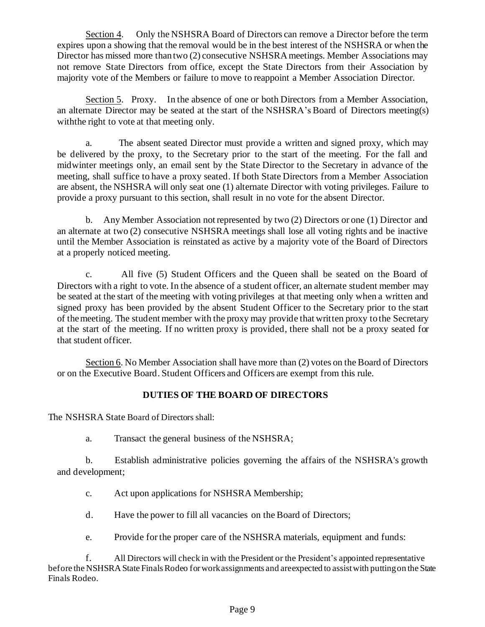Section 4. Only the NSHSRA Board of Directors can remove a Director before the term expires upon a showing that the removal would be in the best interest of the NSHSRA or when the Director has missed more than two (2) consecutive NSHSRA meetings. Member Associations may not remove State Directors from office, except the State Directors from their Association by majority vote of the Members or failure to move to reappoint a Member Association Director.

Section 5. Proxy. In the absence of one or both Directors from a Member Association, an alternate Director may be seated at the start of the NSHSRA's Board of Directors meeting(s) withthe right to vote at that meeting only.

a. The absent seated Director must provide a written and signed proxy, which may be delivered by the proxy, to the Secretary prior to the start of the meeting. For the fall and midwinter meetings only, an email sent by the State Director to the Secretary in advance of the meeting, shall suffice to have a proxy seated. If both State Directors from a Member Association are absent, the NSHSRA will only seat one (1) alternate Director with voting privileges. Failure to provide a proxy pursuant to this section, shall result in no vote for the absent Director.

b. Any Member Association not represented by two (2) Directors or one (1) Director and an alternate at two (2) consecutive NSHSRA meetings shall lose all voting rights and be inactive until the Member Association is reinstated as active by a majority vote of the Board of Directors at a properly noticed meeting.

c. All five (5) Student Officers and the Queen shall be seated on the Board of Directors with a right to vote. In the absence of a student officer, an alternate student member may be seated at the start of the meeting with voting privileges at that meeting only when a written and signed proxy has been provided by the absent Student Officer to the Secretary prior to the start of the meeting. The student member with the proxy may provide that written proxy to the Secretary at the start of the meeting. If no written proxy is provided, there shall not be a proxy seated for that student officer.

Section 6. No Member Association shall have more than (2) votes on the Board of Directors or on the Executive Board. Student Officers and Officers are exempt from this rule.

# **DUTIES OF THE BOARD OF DIRECTORS**

The NSHSRA State Board of Directors shall:

a. Transact the general business of the NSHSRA;

b. Establish administrative policies governing the affairs of the NSHSRA's growth and development;

c. Act upon applications for NSHSRA Membership;

d. Have the power to fill all vacancies on the Board of Directors;

e. Provide for the proper care of the NSHSRA materials, equipment and funds:

f. All Directors will check in with the President or the President's appointed representative before the NSHSRA State Finals Rodeo for work assignments and areexpected to assist with putting on the State Finals Rodeo.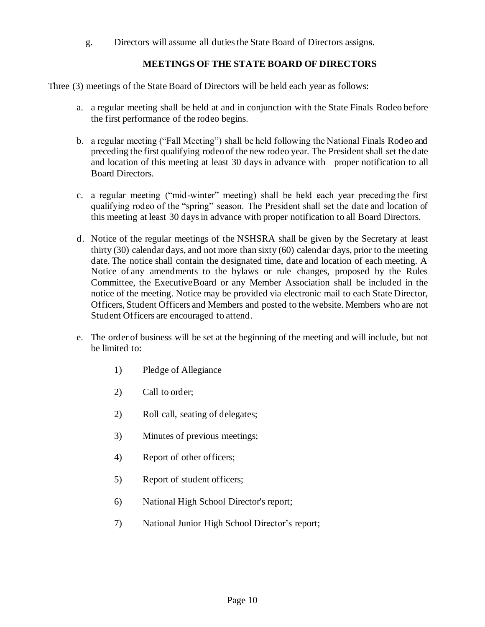g. Directors will assume all duties the State Board of Directors assigns.

## **MEETINGS OF THE STATE BOARD OF DIRECTORS**

Three (3) meetings of the State Board of Directors will be held each year as follows:

- a. a regular meeting shall be held at and in conjunction with the State Finals Rodeo before the first performance of the rodeo begins.
- b. a regular meeting ("Fall Meeting") shall be held following the National Finals Rodeo and preceding the first qualifying rodeo of the new rodeo year. The President shall set the date and location of this meeting at least 30 days in advance with proper notification to all Board Directors.
- c. a regular meeting ("mid-winter" meeting) shall be held each year preceding the first qualifying rodeo of the "spring" season. The President shall set the date and location of this meeting at least 30 days in advance with proper notification to all Board Directors.
- d. Notice of the regular meetings of the NSHSRA shall be given by the Secretary at least thirty (30) calendar days, and not more than sixty (60) calendar days, prior to the meeting date. The notice shall contain the designated time, date and location of each meeting. A Notice of any amendments to the bylaws or rule changes, proposed by the Rules Committee, the ExecutiveBoard or any Member Association shall be included in the notice of the meeting. Notice may be provided via electronic mail to each State Director, Officers, Student Officers and Members and posted to the website. Members who are not Student Officers are encouraged to attend.
- e. The order of business will be set at the beginning of the meeting and will include, but not be limited to:
	- 1) Pledge of Allegiance
	- 2) Call to order;
	- 2) Roll call, seating of delegates;
	- 3) Minutes of previous meetings;
	- 4) Report of other officers;
	- 5) Report of student officers;
	- 6) National High School Director's report;
	- 7) National Junior High School Director's report;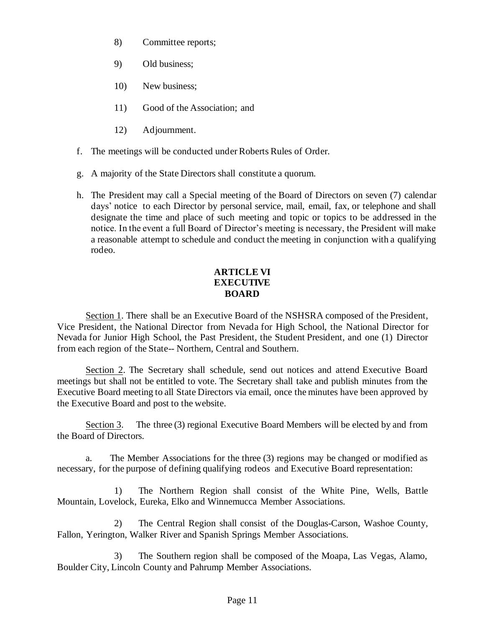- 8) Committee reports;
- 9) Old business;
- 10) New business;
- 11) Good of the Association; and
- 12) Adjournment.
- f. The meetings will be conducted under Roberts Rules of Order.
- g. A majority of the State Directors shall constitute a quorum.
- h. The President may call a Special meeting of the Board of Directors on seven (7) calendar days' notice to each Director by personal service, mail, email, fax, or telephone and shall designate the time and place of such meeting and topic or topics to be addressed in the notice. In the event a full Board of Director's meeting is necessary, the President will make a reasonable attempt to schedule and conduct the meeting in conjunction with a qualifying rodeo.

## **ARTICLE VI EXECUTIVE BOARD**

<span id="page-11-0"></span>Section 1. There shall be an Executive Board of the NSHSRA composed of the President, Vice President, the National Director from Nevada for High School, the National Director for Nevada for Junior High School, the Past President, the Student President, and one (1) Director from each region of the State-- Northern, Central and Southern.

Section 2. The Secretary shall schedule, send out notices and attend Executive Board meetings but shall not be entitled to vote. The Secretary shall take and publish minutes from the Executive Board meeting to all State Directors via email, once the minutes have been approved by the Executive Board and post to the website.

Section 3. The three (3) regional Executive Board Members will be elected by and from the Board of Directors.

a. The Member Associations for the three (3) regions may be changed or modified as necessary, for the purpose of defining qualifying rodeos and Executive Board representation:

1) The Northern Region shall consist of the White Pine, Wells, Battle Mountain, Lovelock, Eureka, Elko and Winnemucca Member Associations.

2) The Central Region shall consist of the Douglas-Carson, Washoe County, Fallon, Yerington, Walker River and Spanish Springs Member Associations.

3) The Southern region shall be composed of the Moapa, Las Vegas, Alamo, Boulder City, Lincoln County and Pahrump Member Associations.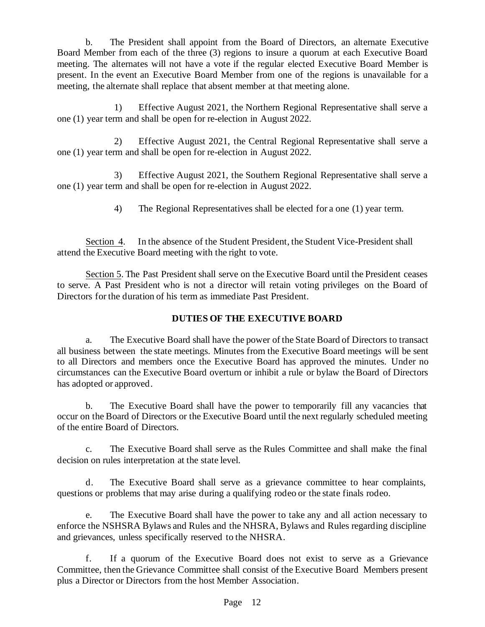b. The President shall appoint from the Board of Directors, an alternate Executive Board Member from each of the three (3) regions to insure a quorum at each Executive Board meeting. The alternates will not have a vote if the regular elected Executive Board Member is present. In the event an Executive Board Member from one of the regions is unavailable for a meeting, the alternate shall replace that absent member at that meeting alone.

1) Effective August 2021, the Northern Regional Representative shall serve a one (1) year term and shall be open for re-election in August 2022.

2) Effective August 2021, the Central Regional Representative shall serve a one (1) year term and shall be open for re-election in August 2022.

3) Effective August 2021, the Southern Regional Representative shall serve a one (1) year term and shall be open for re-election in August 2022.

4) The Regional Representatives shall be elected for a one (1) year term.

Section 4. In the absence of the Student President, the Student Vice-President shall attend the Executive Board meeting with the right to vote.

Section 5. The Past President shall serve on the Executive Board until the President ceases to serve. A Past President who is not a director will retain voting privileges on the Board of Directors for the duration of his term as immediate Past President.

# **DUTIES OF THE EXECUTIVE BOARD**

<span id="page-12-0"></span>a. The Executive Board shall have the power of the State Board of Directors to transact all business between the state meetings. Minutes from the Executive Board meetings will be sent to all Directors and members once the Executive Board has approved the minutes. Under no circumstances can the Executive Board overturn or inhibit a rule or bylaw the Board of Directors has adopted or approved.

b. The Executive Board shall have the power to temporarily fill any vacancies that occur on the Board of Directors or the Executive Board until the next regularly scheduled meeting of the entire Board of Directors.

c. The Executive Board shall serve as the Rules Committee and shall make the final decision on rules interpretation at the state level.

d. The Executive Board shall serve as a grievance committee to hear complaints, questions or problems that may arise during a qualifying rodeo or the state finals rodeo.

e. The Executive Board shall have the power to take any and all action necessary to enforce the NSHSRA Bylaws and Rules and the NHSRA, Bylaws and Rules regarding discipline and grievances, unless specifically reserved to the NHSRA.

f. If a quorum of the Executive Board does not exist to serve as a Grievance Committee, then the Grievance Committee shall consist of the Executive Board Members present plus a Director or Directors from the host Member Association.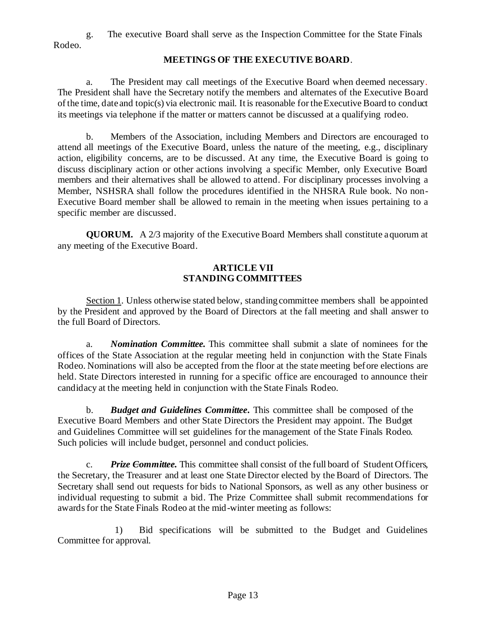<span id="page-13-0"></span>g. The executive Board shall serve as the Inspection Committee for the State Finals Rodeo.

#### **MEETINGS OF THE EXECUTIVE BOARD**.

a. The President may call meetings of the Executive Board when deemed necessary. The President shall have the Secretary notify the members and alternates of the Executive Board of the time, date and topic(s) via electronic mail. It is reasonable for the Executive Board to conduct its meetings via telephone if the matter or matters cannot be discussed at a qualifying rodeo.

b. Members of the Association, including Members and Directors are encouraged to attend all meetings of the Executive Board, unless the nature of the meeting, e.g., disciplinary action, eligibility concerns, are to be discussed. At any time, the Executive Board is going to discuss disciplinary action or other actions involving a specific Member, only Executive Board members and their alternatives shall be allowed to attend. For disciplinary processes involving a Member, NSHSRA shall follow the procedures identified in the NHSRA Rule book. No non-Executive Board member shall be allowed to remain in the meeting when issues pertaining to a specific member are discussed.

<span id="page-13-1"></span>**QUORUM.** A 2/3 majority of the Executive Board Members shall constitute aquorum at any meeting of the Executive Board.

## **ARTICLE VII STANDING COMMITTEES**

Section 1. Unless otherwise stated below, standing committee members shall be appointed by the President and approved by the Board of Directors at the fall meeting and shall answer to the full Board of Directors.

a. *Nomination Committee.* This committee shall submit a slate of nominees for the offices of the State Association at the regular meeting held in conjunction with the State Finals Rodeo. Nominations will also be accepted from the floor at the state meeting before elections are held. State Directors interested in running for a specific office are encouraged to announce their candidacy at the meeting held in conjunction with the State Finals Rodeo.

b. *Budget and Guidelines Committee***.** This committee shall be composed of the Executive Board Members and other State Directors the President may appoint. The Budget and Guidelines Committee will set guidelines for the management of the State Finals Rodeo. Such policies will include budget, personnel and conduct policies.

c. *Prize Committee.* This committee shall consist of the full board of Student Officers, the Secretary, the Treasurer and at least one State Director elected by the Board of Directors. The Secretary shall send out requests for bids to National Sponsors, as well as any other business or individual requesting to submit a bid. The Prize Committee shall submit recommendations for awards for the State Finals Rodeo at the mid-winter meeting as follows:

1) Bid specifications will be submitted to the Budget and Guidelines Committee for approval.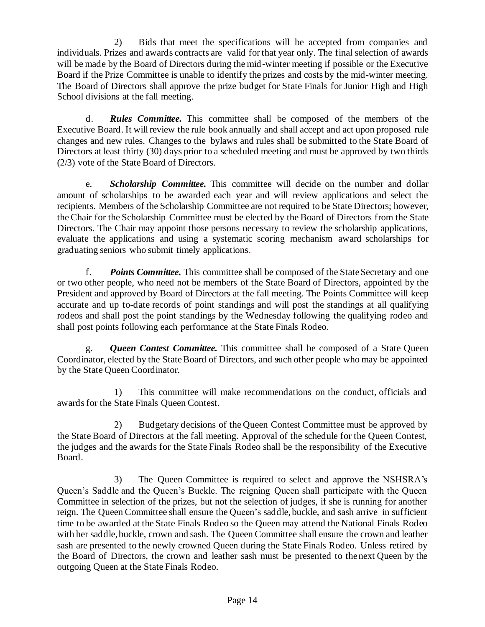2) Bids that meet the specifications will be accepted from companies and individuals. Prizes and awards contracts are valid for that year only. The final selection of awards will be made by the Board of Directors during the mid-winter meeting if possible or the Executive Board if the Prize Committee is unable to identify the prizes and costs by the mid-winter meeting. The Board of Directors shall approve the prize budget for State Finals for Junior High and High School divisions at the fall meeting.

d. *Rules Committee.* This committee shall be composed of the members of the Executive Board. It will review the rule book annually and shall accept and act upon proposed rule changes and new rules. Changes to the bylaws and rules shall be submitted to the State Board of Directors at least thirty (30) days prior to a scheduled meeting and must be approved by two thirds (2/3) vote of the State Board of Directors.

e. *Scholarship Committee.* This committee will decide on the number and dollar amount of scholarships to be awarded each year and will review applications and select the recipients. Members of the Scholarship Committee are not required to be State Directors; however, the Chair for the Scholarship Committee must be elected by the Board of Directors from the State Directors. The Chair may appoint those persons necessary to review the scholarship applications, evaluate the applications and using a systematic scoring mechanism award scholarships for graduating seniors who submit timely applications.

f. *Points Committee.* This committee shall be composed of the State Secretary and one or two other people, who need not be members of the State Board of Directors, appointed by the President and approved by Board of Directors at the fall meeting. The Points Committee will keep accurate and up to-date records of point standings and will post the standings at all qualifying rodeos and shall post the point standings by the Wednesday following the qualifying rodeo and shall post points following each performance at the State Finals Rodeo.

g. *Queen Contest Committee.* This committee shall be composed of a State Queen Coordinator, elected by the StateBoard of Directors, and such other people who may be appointed by the State Queen Coordinator.

1) This committee will make recommendations on the conduct, officials and awards for the State Finals Queen Contest.

2) Budgetary decisions of the Queen Contest Committee must be approved by the State Board of Directors at the fall meeting. Approval of the schedule for the Queen Contest, the judges and the awards for the State Finals Rodeo shall be the responsibility of the Executive Board.

3) The Queen Committee is required to select and approve the NSHSRA's Queen's Saddle and the Queen's Buckle. The reigning Queen shall participate with the Queen Committee in selection of the prizes, but not the selection of judges, if she is running for another reign. The Queen Committee shall ensure the Queen's saddle, buckle, and sash arrive in sufficient time to be awarded at the State Finals Rodeo so the Queen may attend the National Finals Rodeo with her saddle, buckle, crown and sash. The Queen Committee shall ensure the crown and leather sash are presented to the newly crowned Queen during the State Finals Rodeo. Unless retired by the Board of Directors, the crown and leather sash must be presented to the next Queen by the outgoing Queen at the State Finals Rodeo.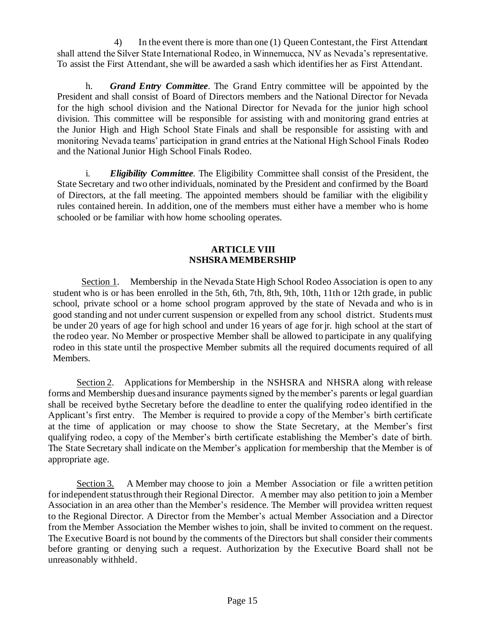4) In the event there is more than one (1) Queen Contestant, the First Attendant shall attend the Silver State International Rodeo, in Winnemucca, NV as Nevada's representative. To assist the First Attendant, she will be awarded a sash which identifies her as First Attendant.

h. *Grand Entry Committee.* The Grand Entry committee will be appointed by the President and shall consist of Board of Directors members and the National Director for Nevada for the high school division and the National Director for Nevada for the junior high school division. This committee will be responsible for assisting with and monitoring grand entries at the Junior High and High School State Finals and shall be responsible for assisting with and monitoring Nevada teams' participation in grand entries at the National High School Finals Rodeo and the National Junior High School Finals Rodeo.

i. *Eligibility Committee.* The Eligibility Committee shall consist of the President, the State Secretary and two other individuals, nominated by the President and confirmed by the Board of Directors, at the fall meeting. The appointed members should be familiar with the eligibility rules contained herein. In addition, one of the members must either have a member who is home schooled or be familiar with how home schooling operates.

### **ARTICLE VIII NSHSRA MEMBERSHIP**

Section 1. Membership in the Nevada State High School Rodeo Association is open to any student who is or has been enrolled in the 5th, 6th, 7th, 8th, 9th, 10th, 11th or 12th grade, in public school, private school or a home school program approved by the state of Nevada and who is in good standing and not under current suspension or expelled from any school district. Students must be under 20 years of age for high school and under 16 years of age for jr. high school at the start of the rodeo year. No Member or prospective Member shall be allowed to participate in any qualifying rodeo in this state until the prospective Member submits all the required documents required of all Members.

Section 2. Applications for Membership in the NSHSRA and NHSRA along with release forms and Membership dues and insurance payments signed by the member's parents or legal guardian shall be received bythe Secretary before the deadline to enter the qualifying rodeo identified in the Applicant's first entry. The Member is required to provide a copy of the Member's birth certificate at the time of application or may choose to show the State Secretary, at the Member's first qualifying rodeo, a copy of the Member's birth certificate establishing the Member's date of birth. The State Secretary shall indicate on the Member's application for membership that the Member is of appropriate age.

Section 3. A Member may choose to join a Member Association or file a written petition for independent status through their Regional Director. A member may also petition to join a Member Association in an area other than the Member's residence. The Member will providea written request to the Regional Director. A Director from the Member's actual Member Association and a Director from the Member Association the Member wishes to join, shall be invited to comment on the request. The Executive Board is not bound by the comments of the Directors but shall consider their comments before granting or denying such a request. Authorization by the Executive Board shall not be unreasonably withheld.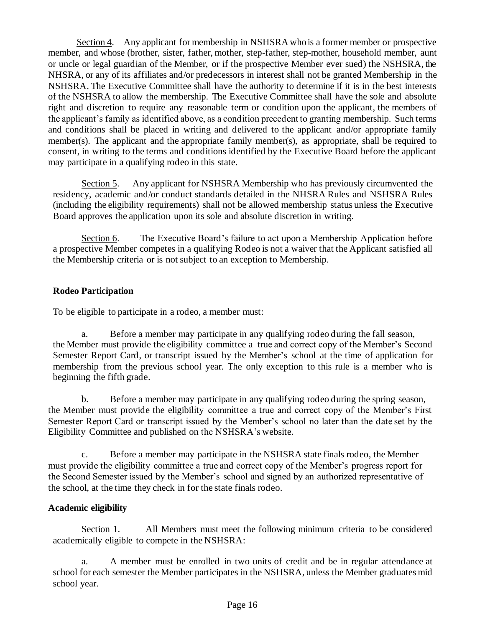Section 4. Any applicant for membership in NSHSRA who is a former member or prospective member, and whose (brother, sister, father, mother, step-father, step-mother, household member, aunt or uncle or legal guardian of the Member, or if the prospective Member ever sued) the NSHSRA, the NHSRA, or any of its affiliates and/or predecessors in interest shall not be granted Membership in the NSHSRA. The Executive Committee shall have the authority to determine if it is in the best interests of the NSHSRA to allow the membership. The Executive Committee shall have the sole and absolute right and discretion to require any reasonable term or condition upon the applicant, the members of the applicant's family as identified above, as a condition precedent to granting membership. Such terms and conditions shall be placed in writing and delivered to the applicant and/or appropriate family member(s). The applicant and the appropriate family member(s), as appropriate, shall be required to consent, in writing to the terms and conditions identified by the Executive Board before the applicant may participate in a qualifying rodeo in this state.

Section 5. Any applicant for NSHSRA Membership who has previously circumvented the residency, academic and/or conduct standards detailed in the NHSRA Rules and NSHSRA Rules (including the eligibility requirements) shall not be allowed membership status unless the Executive Board approves the application upon its sole and absolute discretion in writing.

Section 6. The Executive Board's failure to act upon a Membership Application before a prospective Member competes in a qualifying Rodeo is not a waiver that the Applicant satisfied all the Membership criteria or is not subject to an exception to Membership.

## **Rodeo Participation**

To be eligible to participate in a rodeo, a member must:

a. Before a member may participate in any qualifying rodeo during the fall season, the Member must provide the eligibility committee a true and correct copy of the Member's Second Semester Report Card, or transcript issued by the Member's school at the time of application for membership from the previous school year. The only exception to this rule is a member who is beginning the fifth grade.

b. Before a member may participate in any qualifying rodeo during the spring season, the Member must provide the eligibility committee a true and correct copy of the Member's First Semester Report Card or transcript issued by the Member's school no later than the date set by the Eligibility Committee and published on the NSHSRA's website.

c. Before a member may participate in the NSHSRA state finals rodeo, the Member must provide the eligibility committee a true and correct copy of the Member's progress report for the Second Semester issued by the Member's school and signed by an authorized representative of the school, at the time they check in for the state finals rodeo.

## **Academic eligibility**

Section 1. All Members must meet the following minimum criteria to be considered academically eligible to compete in the NSHSRA:

a. A member must be enrolled in two units of credit and be in regular attendance at school for each semester the Member participates in the NSHSRA, unless the Member graduates mid school year.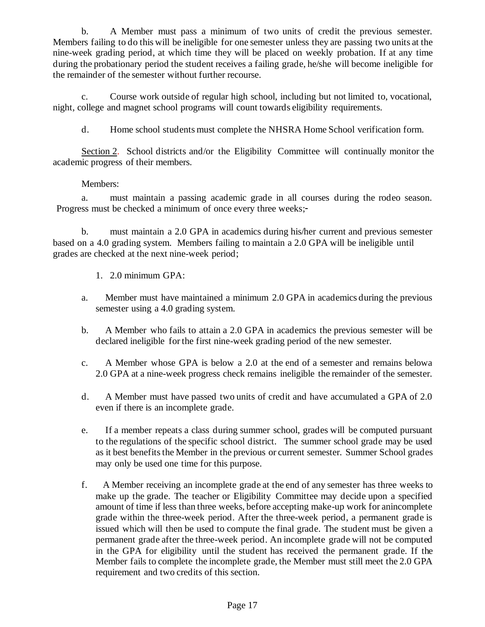b. A Member must pass a minimum of two units of credit the previous semester. Members failing to do this will be ineligible for one semester unless they are passing two units at the nine-week grading period, at which time they will be placed on weekly probation. If at any time during the probationary period the student receives a failing grade, he/she will become ineligible for the remainder of the semester without further recourse.

c. Course work outside of regular high school, including but not limited to, vocational, night, college and magnet school programs will count towards eligibility requirements.

d. Home school students must complete the NHSRA Home School verification form.

Section 2. School districts and/or the Eligibility Committee will continually monitor the academic progress of their members.

### Members:

a. must maintain a passing academic grade in all courses during the rodeo season. Progress must be checked a minimum of once every three weeks;

b. must maintain a 2.0 GPA in academics during his/her current and previous semester based on a 4.0 grading system. Members failing to maintain a 2.0 GPA will be ineligible until grades are checked at the next nine-week period;

- 1. 2.0 minimum GPA:
- a. Member must have maintained a minimum 2.0 GPA in academics during the previous semester using a 4.0 grading system.
- b. A Member who fails to attain a 2.0 GPA in academics the previous semester will be declared ineligible for the first nine-week grading period of the new semester.
- c. A Member whose GPA is below a 2.0 at the end of a semester and remains belowa 2.0 GPA at a nine-week progress check remains ineligible the remainder of the semester.
- d. A Member must have passed two units of credit and have accumulated a GPA of 2.0 even if there is an incomplete grade.
- e. If a member repeats a class during summer school, grades will be computed pursuant to the regulations of the specific school district. The summer school grade may be used as it best benefits the Member in the previous or current semester. Summer School grades may only be used one time for this purpose.
- f. A Member receiving an incomplete grade at the end of any semester has three weeks to make up the grade. The teacher or Eligibility Committee may decide upon a specified amount of time if less than three weeks, before accepting make-up work for anincomplete grade within the three-week period. After the three-week period, a permanent grade is issued which will then be used to compute the final grade. The student must be given a permanent grade after the three-week period. An incomplete grade will not be computed in the GPA for eligibility until the student has received the permanent grade. If the Member fails to complete the incomplete grade, the Member must still meet the 2.0 GPA requirement and two credits of this section.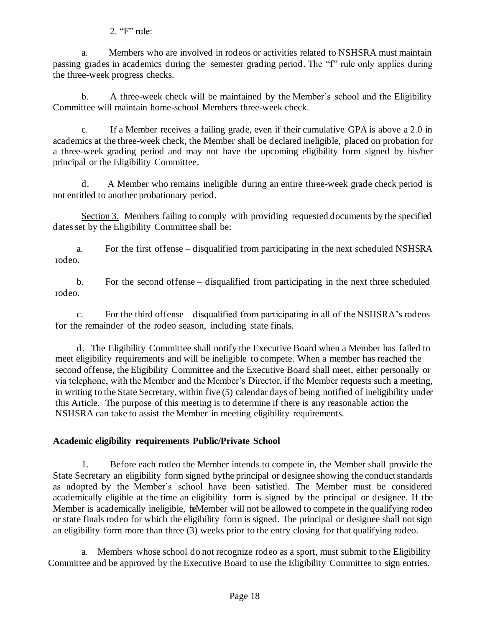## 2. "F" rule:

a. Members who are involved in rodeos or activities related to NSHSRA must maintain passing grades in academics during the semester grading period. The "f" rule only applies during the three-week progress checks.

b. A three-week check will be maintained by the Member's school and the Eligibility Committee will maintain home-school Members three-week check.

c. If a Member receives a failing grade, even if their cumulative GPA is above a 2.0 in academics at the three-week check, the Member shall be declared ineligible, placed on probation for a three-week grading period and may not have the upcoming eligibility form signed by his/her principal or the Eligibility Committee.

d. A Member who remains ineligible during an entire three-week grade check period is not entitled to another probationary period.

Section 3. Members failing to comply with providing requested documents by the specified dates set by the Eligibility Committee shall be:

a. For the first offense – disqualified from participating in the next scheduled NSHSRA rodeo.

b. For the second offense – disqualified from participating in the next three scheduled rodeo.

c. For the third offense – disqualified from participating in all of the NSHSRA's rodeos for the remainder of the rodeo season, including state finals.

d. The Eligibility Committee shall notify the Executive Board when a Member has failed to meet eligibility requirements and will be ineligible to compete. When a member has reached the second offense, the Eligibility Committee and the Executive Board shall meet, either personally or via telephone, with the Member and the Member's Director, if the Member requests such a meeting, in writing to the State Secretary, within five (5) calendar days of being notified of ineligibility under this Article. The purpose of this meeting is to determine if there is any reasonable action the NSHSRA can take to assist the Member in meeting eligibility requirements.

# **Academic eligibility requirements Public/Private School**

1. Before each rodeo the Member intends to compete in, the Member shall provide the State Secretary an eligibility form signed bythe principal or designee showing the conduct standards as adopted by the Member's school have been satisfied. The Member must be considered academically eligible at the time an eligibility form is signed by the principal or designee. If the Member is academically ineligible, **te**Member will not be allowed to compete in the qualifying rodeo or state finals rodeo for which the eligibility form is signed. The principal or designee shall not sign an eligibility form more than three (3) weeks prior to the entry closing for that qualifying rodeo.

a. Members whose school do not recognize rodeo as a sport, must submit to the Eligibility Committee and be approved by the Executive Board to use the Eligibility Committee to sign entries.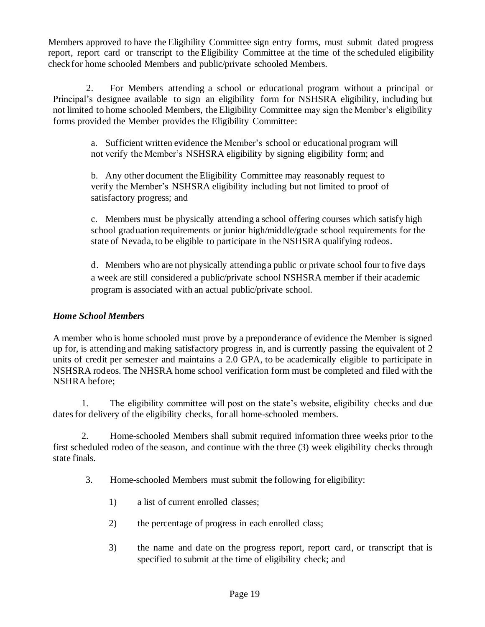Members approved to have the Eligibility Committee sign entry forms, must submit dated progress report, report card or transcript to the Eligibility Committee at the time of the scheduled eligibility check for home schooled Members and public/private schooled Members.

 2. For Members attending a school or educational program without a principal or Principal's designee available to sign an eligibility form for NSHSRA eligibility, including but not limited to home schooled Members, the Eligibility Committee may sign the Member's eligibility forms provided the Member provides the Eligibility Committee:

a. Sufficient written evidence the Member's school or educational program will not verify the Member's NSHSRA eligibility by signing eligibility form; and

b. Any other document the Eligibility Committee may reasonably request to verify the Member's NSHSRA eligibility including but not limited to proof of satisfactory progress; and

c. Members must be physically attending a school offering courses which satisfy high school graduation requirements or junior high/middle/grade school requirements for the state of Nevada, to be eligible to participate in the NSHSRA qualifying rodeos.

d. Members who are not physically attending a public or private school four to five days a week are still considered a public/private school NSHSRA member if their academic program is associated with an actual public/private school.

## *Home School Members*

A member who is home schooled must prove by a preponderance of evidence the Member is signed up for, is attending and making satisfactory progress in, and is currently passing the equivalent of 2 units of credit per semester and maintains a 2.0 GPA, to be academically eligible to participate in NSHSRA rodeos. The NHSRA home school verification form must be completed and filed with the NSHRA before;

1. The eligibility committee will post on the state's website, eligibility checks and due dates for delivery of the eligibility checks, for all home-schooled members.

2. Home-schooled Members shall submit required information three weeks prior to the first scheduled rodeo of the season, and continue with the three (3) week eligibility checks through state finals.

- 3. Home-schooled Members must submit the following for eligibility:
	- 1) a list of current enrolled classes;
	- 2) the percentage of progress in each enrolled class;
	- 3) the name and date on the progress report, report card, or transcript that is specified to submit at the time of eligibility check; and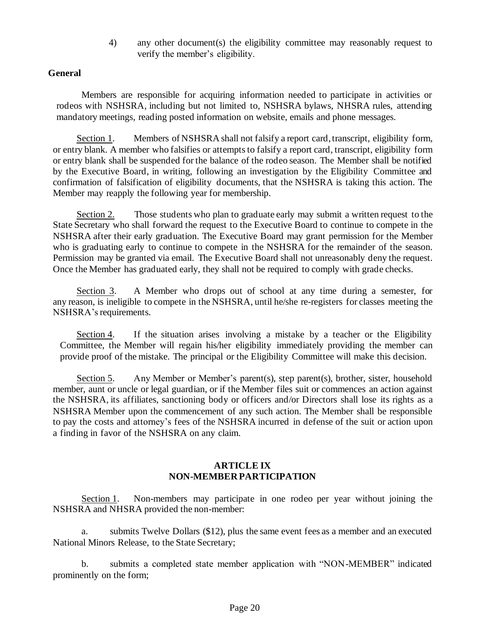4) any other document(s) the eligibility committee may reasonably request to verify the member's eligibility.

#### **General**

Members are responsible for acquiring information needed to participate in activities or rodeos with NSHSRA, including but not limited to, NSHSRA bylaws, NHSRA rules, attending mandatory meetings, reading posted information on website, emails and phone messages.

Section 1. Members of NSHSRA shall not falsify a report card, transcript, eligibility form, or entry blank. A member who falsifies or attempts to falsify a report card, transcript, eligibility form or entry blank shall be suspended for the balance of the rodeo season. The Member shall be notified by the Executive Board, in writing, following an investigation by the Eligibility Committee and confirmation of falsification of eligibility documents, that the NSHSRA is taking this action. The Member may reapply the following year for membership.

Section 2. Those students who plan to graduate early may submit a written request to the State Secretary who shall forward the request to the Executive Board to continue to compete in the NSHSRA after their early graduation. The Executive Board may grant permission for the Member who is graduating early to continue to compete in the NSHSRA for the remainder of the season. Permission may be granted via email. The Executive Board shall not unreasonably deny the request. Once the Member has graduated early, they shall not be required to comply with grade checks.

Section 3. A Member who drops out of school at any time during a semester, for any reason, is ineligible to compete in the NSHSRA, until he/she re-registers for classes meeting the NSHSRA's requirements.

Section 4. If the situation arises involving a mistake by a teacher or the Eligibility Committee, the Member will regain his/her eligibility immediately providing the member can provide proof of the mistake. The principal or the Eligibility Committee will make this decision.

Section 5. Any Member or Member's parent(s), step parent(s), brother, sister, household member, aunt or uncle or legal guardian, or if the Member files suit or commences an action against the NSHSRA, its affiliates, sanctioning body or officers and/or Directors shall lose its rights as a NSHSRA Member upon the commencement of any such action. The Member shall be responsible to pay the costs and attorney's fees of the NSHSRA incurred in defense of the suit or action upon a finding in favor of the NSHSRA on any claim.

### **ARTICLE IX NON-MEMBER PARTICIPATION**

Section 1. Non-members may participate in one rodeo per year without joining the NSHSRA and NHSRA provided the non-member:

a. submits Twelve Dollars (\$12), plus the same event fees as a member and an executed National Minors Release, to the State Secretary;

b. submits a completed state member application with "NON-MEMBER" indicated prominently on the form;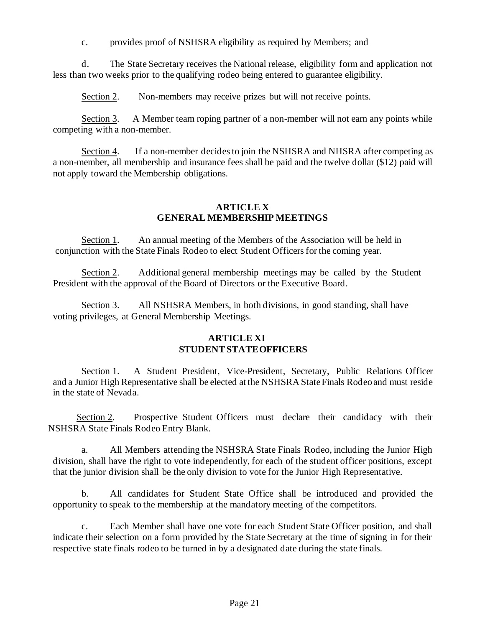c. provides proof of NSHSRA eligibility as required by Members; and

d. The State Secretary receives the National release, eligibility form and application not less than two weeks prior to the qualifying rodeo being entered to guarantee eligibility.

Section 2. Non-members may receive prizes but will not receive points.

Section 3. A Member team roping partner of a non-member will not earn any points while competing with a non-member.

Section 4. If a non-member decides to join the NSHSRA and NHSRA after competing as a non-member, all membership and insurance fees shall be paid and the twelve dollar (\$12) paid will not apply toward the Membership obligations.

### **ARTICLE X GENERAL MEMBERSHIP MEETINGS**

Section 1. An annual meeting of the Members of the Association will be held in conjunction with the State Finals Rodeo to elect Student Officers for the coming year.

Section 2. Additional general membership meetings may be called by the Student President with the approval of the Board of Directors or the Executive Board.

Section 3. All NSHSRA Members, in both divisions, in good standing, shall have voting privileges, at General Membership Meetings.

## **ARTICLE XI STUDENTSTATEOFFICERS**

Section 1. A Student President, Vice-President, Secretary, Public Relations Officer and a Junior High Representative shall be elected at the NSHSRA State Finals Rodeo and must reside in the state of Nevada.

Section 2. Prospective Student Officers must declare their candidacy with their NSHSRA State Finals Rodeo Entry Blank.

a. All Members attending the NSHSRA State Finals Rodeo, including the Junior High division, shall have the right to vote independently, for each of the student officer positions, except that the junior division shall be the only division to vote for the Junior High Representative.

b. All candidates for Student State Office shall be introduced and provided the opportunity to speak to the membership at the mandatory meeting of the competitors.

c. Each Member shall have one vote for each Student State Officer position, and shall indicate their selection on a form provided by the State Secretary at the time of signing in for their respective state finals rodeo to be turned in by a designated date during the state finals.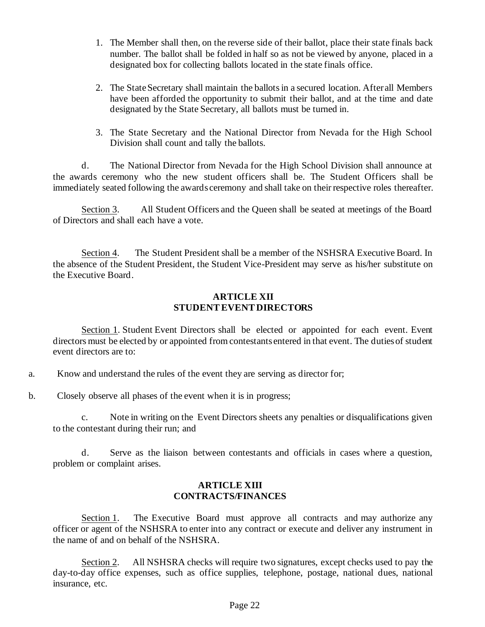- 1. The Member shall then, on the reverse side of their ballot, place their state finals back number. The ballot shall be folded in half so as not be viewed by anyone, placed in a designated box for collecting ballots located in the state finals office.
- 2. The State Secretary shall maintain the ballots in a secured location. After all Members have been afforded the opportunity to submit their ballot, and at the time and date designated by the State Secretary, all ballots must be turned in.
- 3. The State Secretary and the National Director from Nevada for the High School Division shall count and tally the ballots.

d. The National Director from Nevada for the High School Division shall announce at the awards ceremony who the new student officers shall be. The Student Officers shall be immediately seated following the awards ceremony and shall take on their respective roles thereafter.

Section 3. All Student Officers and the Queen shall be seated at meetings of the Board of Directors and shall each have a vote.

Section 4. The Student President shall be a member of the NSHSRA Executive Board. In the absence of the Student President, the Student Vice-President may serve as his/her substitute on the Executive Board.

#### **ARTICLE XII STUDENTEVENT DIRECTORS**

Section 1. Student Event Directors shall be elected or appointed for each event. Event directors must be elected by or appointed from contestants entered in that event. The duties of student event directors are to:

- a. Know and understand the rules of the event they are serving as director for;
- b. Closely observe all phases of the event when it is in progress;

c. Note in writing on the Event Directors sheets any penalties or disqualifications given to the contestant during their run; and

d. Serve as the liaison between contestants and officials in cases where a question, problem or complaint arises.

#### **ARTICLE XIII CONTRACTS/FINANCES**

Section 1. The Executive Board must approve all contracts and may authorize any officer or agent of the NSHSRA to enter into any contract or execute and deliver any instrument in the name of and on behalf of the NSHSRA.

Section 2. All NSHSRA checks will require two signatures, except checks used to pay the day-to-day office expenses, such as office supplies, telephone, postage, national dues, national insurance, etc.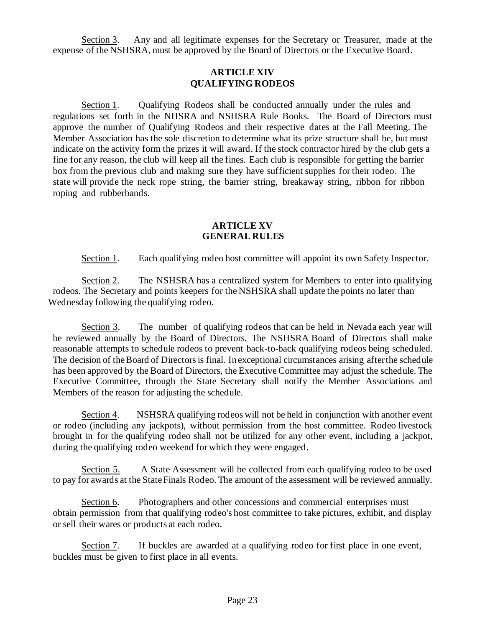Section 3. Any and all legitimate expenses for the Secretary or Treasurer, made at the expense of the NSHSRA, must be approved by the Board of Directors or the Executive Board.

## **ARTICLE XIV QUALIFYING RODEOS**

Section 1. Qualifying Rodeos shall be conducted annually under the rules and regulations set forth in the NHSRA and NSHSRA Rule Books. The Board of Directors must approve the number of Qualifying Rodeos and their respective dates at the Fall Meeting. The Member Association has the sole discretion to determine what its prize structure shall be, but must indicate on the activity form the prizes it will award. If the stock contractor hired by the club gets a fine for any reason, the club will keep all the fines. Each club is responsible for getting the barrier box from the previous club and making sure they have sufficient supplies for their rodeo. The state will provide the neck rope string, the barrier string, breakaway string, ribbon for ribbon roping and rubberbands.

#### **ARTICLE XV GENERAL RULES**

Section 1. Each qualifying rodeo host committee will appoint its own Safety Inspector.

Section 2. The NSHSRA has a centralized system for Members to enter into qualifying rodeos. The Secretary and points keepers for the NSHSRA shall update the points no later than Wednesday following the qualifying rodeo.

Section 3. The number of qualifying rodeos that can be held in Nevada each year will be reviewed annually by the Board of Directors. The NSHSRA Board of Directors shall make reasonable attempts to schedule rodeos to prevent back-to-back qualifying rodeos being scheduled. The decision of the Board of Directors is final. In exceptional circumstances arising after the schedule has been approved by the Board of Directors, the Executive Committee may adjust the schedule. The Executive Committee, through the State Secretary shall notify the Member Associations and Members of the reason for adjusting the schedule.

Section 4. NSHSRA qualifying rodeos will not be held in conjunction with another event or rodeo (including any jackpots), without permission from the host committee. Rodeo livestock brought in for the qualifying rodeo shall not be utilized for any other event, including a jackpot, during the qualifying rodeo weekend for which they were engaged.

Section 5. A State Assessment will be collected from each qualifying rodeo to be used to pay for awards at the State Finals Rodeo. The amount of the assessment will be reviewed annually.

Section 6. Photographers and other concessions and commercial enterprises must obtain permission from that qualifying rodeo's host committee to take pictures, exhibit, and display or sell their wares or products at each rodeo.

Section 7. If buckles are awarded at a qualifying rodeo for first place in one event, buckles must be given to first place in all events.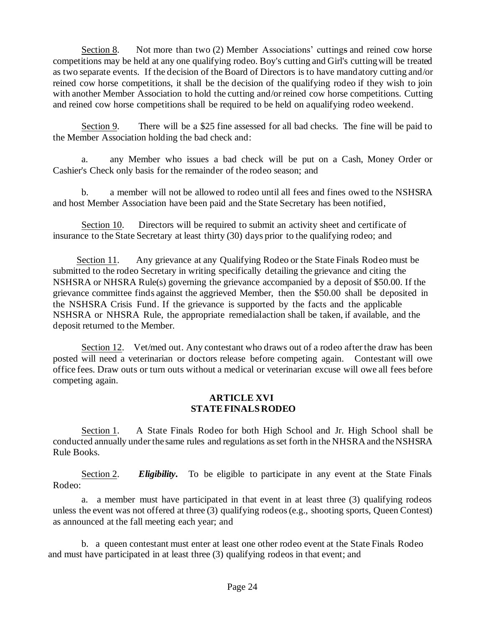Section 8. Not more than two (2) Member Associations' cuttings and reined cow horse competitions may be held at any one qualifying rodeo. Boy's cutting and Girl's cutting will be treated as two separate events. If the decision of the Board of Directors is to have mandatory cutting and/or reined cow horse competitions, it shall be the decision of the qualifying rodeo if they wish to join with another Member Association to hold the cutting and/or reined cow horse competitions. Cutting and reined cow horse competitions shall be required to be held on a qualifying rodeo weekend.

Section 9. There will be a \$25 fine assessed for all bad checks. The fine will be paid to the Member Association holding the bad check and:

a. any Member who issues a bad check will be put on a Cash, Money Order or Cashier's Check only basis for the remainder of the rodeo season; and

b. a member will not be allowed to rodeo until all fees and fines owed to the NSHSRA and host Member Association have been paid and the State Secretary has been notified,

Section 10. Directors will be required to submit an activity sheet and certificate of insurance to the State Secretary at least thirty (30) days prior to the qualifying rodeo; and

Section 11. Any grievance at any Qualifying Rodeo or the State Finals Rodeo must be submitted to the rodeo Secretary in writing specifically detailing the grievance and citing the NSHSRA or NHSRA Rule(s) governing the grievance accompanied by a deposit of \$50.00. If the grievance committee finds against the aggrieved Member, then the \$50.00 shall be deposited in the NSHSRA Crisis Fund. If the grievance is supported by the facts and the applicable NSHSRA or NHSRA Rule, the appropriate remedialaction shall be taken, if available, and the deposit returned to the Member.

Section 12. Vet/med out. Any contestant who draws out of a rodeo after the draw has been posted will need a veterinarian or doctors release before competing again. Contestant will owe office fees. Draw outs or turn outs without a medical or veterinarian excuse will owe all fees before competing again.

### **ARTICLE XVI STATEFINALSRODEO**

Section 1. A State Finals Rodeo for both High School and Jr. High School shall be conducted annually under the same rules and regulations as set forth in the NHSRA and the NSHSRA Rule Books.

Section 2. *Eligibility***.** To be eligible to participate in any event at the State Finals Rodeo:

a. a member must have participated in that event in at least three (3) qualifying rodeos unless the event was not offered at three (3) qualifying rodeos(e.g., shooting sports, Queen Contest) as announced at the fall meeting each year; and

 b. a queen contestant must enter at least one other rodeo event at the State Finals Rodeo and must have participated in at least three (3) qualifying rodeos in that event; and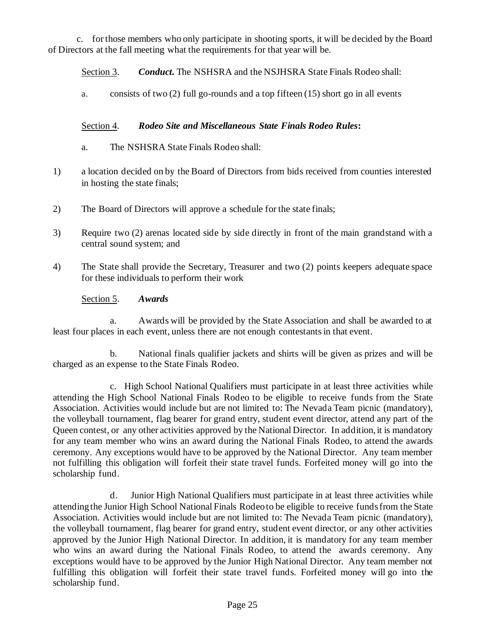c. for those members who only participate in shooting sports, it will be decided by the Board of Directors at the fall meeting what the requirements for that year will be.

Section 3. *Conduct***.** The NSHSRA and the NSJHSRA State Finals Rodeo shall:

a. consists of two (2) full go-rounds and a top fifteen (15) short go in all events

## Section 4. *Rodeo Site and Miscellaneous State Finals Rodeo Rules***:**

- a. The NSHSRA State Finals Rodeo shall:
- 1) a location decided on by the Board of Directors from bids received from counties interested in hosting the state finals;
- 2) The Board of Directors will approve a schedule for the state finals;
- 3) Require two (2) arenas located side by side directly in front of the main grandstand with a central sound system; and
- 4) The State shall provide the Secretary, Treasurer and two (2) points keepers adequate space for these individuals to perform their work

Section 5. *Awards*

a. Awards will be provided by the State Association and shall be awarded to at least four places in each event, unless there are not enough contestants in that event.

b. National finals qualifier jackets and shirts will be given as prizes and will be charged as an expense to the State Finals Rodeo.

c. High School National Qualifiers must participate in at least three activities while attending the High School National Finals Rodeo to be eligible to receive funds from the State Association. Activities would include but are not limited to: The Nevada Team picnic (mandatory), the volleyball tournament, flag bearer for grand entry, student event director, attend any part of the Queen contest, or any other activities approved by the National Director. In addition, it is mandatory for any team member who wins an award during the National Finals Rodeo, to attend the awards ceremony. Any exceptions would have to be approved by the National Director. Any team member not fulfilling this obligation will forfeit their state travel funds. Forfeited money will go into the scholarship fund.

d. Junior High National Qualifiers must participate in at least three activities while attending the Junior High School National Finals Rodeo to be eligible to receive funds from the State Association. Activities would include but are not limited to: The Nevada Team picnic (mandatory), the volleyball tournament, flag bearer for grand entry, student event director, or any other activities approved by the Junior High National Director. In addition, it is mandatory for any team member who wins an award during the National Finals Rodeo, to attend the awards ceremony. Any exceptions would have to be approved by the Junior High National Director. Any team member not fulfilling this obligation will forfeit their state travel funds. Forfeited money will go into the scholarship fund.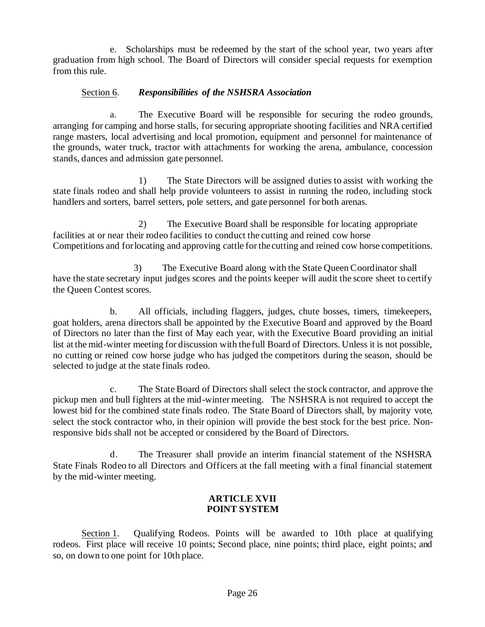e. Scholarships must be redeemed by the start of the school year, two years after graduation from high school. The Board of Directors will consider special requests for exemption from this rule.

## Section 6. *Responsibilities of the NSHSRA Association*

a. The Executive Board will be responsible for securing the rodeo grounds, arranging for camping and horse stalls, for securing appropriate shooting facilities and NRA certified range masters, local advertising and local promotion, equipment and personnel for maintenance of the grounds, water truck, tractor with attachments for working the arena, ambulance, concession stands, dances and admission gate personnel.

1) The State Directors will be assigned duties to assist with working the state finals rodeo and shall help provide volunteers to assist in running the rodeo, including stock handlers and sorters, barrel setters, pole setters, and gate personnel for both arenas.

2) The Executive Board shall be responsible for locating appropriate facilities at or near their rodeo facilities to conduct the cutting and reined cow horse Competitions and for locating and approving cattle for the cutting and reined cow horse competitions.

3) The Executive Board along with the State Queen Coordinator shall have the state secretary input judges scores and the points keeper will audit the score sheet to certify the Queen Contest scores.

b. All officials, including flaggers, judges, chute bosses, timers, timekeepers, goat holders, arena directors shall be appointed by the Executive Board and approved by the Board of Directors no later than the first of May each year, with the Executive Board providing an initial list at the mid-winter meeting for discussion with the full Board of Directors. Unless it is not possible, no cutting or reined cow horse judge who has judged the competitors during the season, should be selected to judge at the state finals rodeo.

c. The State Board of Directors shall select the stock contractor, and approve the pickup men and bull fighters at the mid-winter meeting. The NSHSRA is not required to accept the lowest bid for the combined state finals rodeo. The State Board of Directors shall, by majority vote, select the stock contractor who, in their opinion will provide the best stock for the best price. Nonresponsive bids shall not be accepted or considered by the Board of Directors.

d. The Treasurer shall provide an interim financial statement of the NSHSRA State Finals Rodeo to all Directors and Officers at the fall meeting with a final financial statement by the mid-winter meeting.

## **ARTICLE XVII POINT SYSTEM**

Section 1. Qualifying Rodeos. Points will be awarded to 10th place at qualifying rodeos. First place will receive 10 points; Second place, nine points; third place, eight points; and so, on down to one point for 10th place.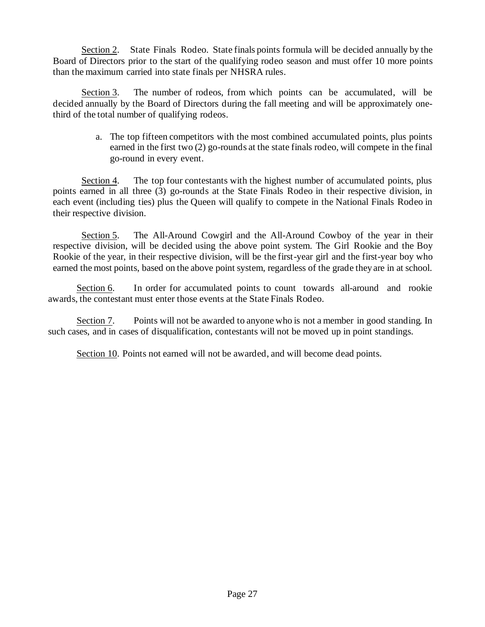Section 2. State Finals Rodeo. State finals points formula will be decided annually by the Board of Directors prior to the start of the qualifying rodeo season and must offer 10 more points than the maximum carried into state finals per NHSRA rules.

Section 3. The number of rodeos, from which points can be accumulated, will be decided annually by the Board of Directors during the fall meeting and will be approximately onethird of the total number of qualifying rodeos.

> a. The top fifteen competitors with the most combined accumulated points, plus points earned in the first two (2) go-rounds at the state finals rodeo, will compete in the final go-round in every event.

Section 4. The top four contestants with the highest number of accumulated points, plus points earned in all three (3) go-rounds at the State Finals Rodeo in their respective division, in each event (including ties) plus the Queen will qualify to compete in the National Finals Rodeo in their respective division.

Section 5. The All-Around Cowgirl and the All-Around Cowboy of the year in their respective division, will be decided using the above point system. The Girl Rookie and the Boy Rookie of the year, in their respective division, will be the first-year girl and the first-year boy who earned the most points, based on the above point system, regardless of the grade they are in at school.

Section 6. In order for accumulated points to count towards all-around and rookie awards, the contestant must enter those events at the State Finals Rodeo.

Section 7. Points will not be awarded to anyone who is not a member in good standing. In such cases, and in cases of disqualification, contestants will not be moved up in point standings.

Section 10. Points not earned will not be awarded, and will become dead points.